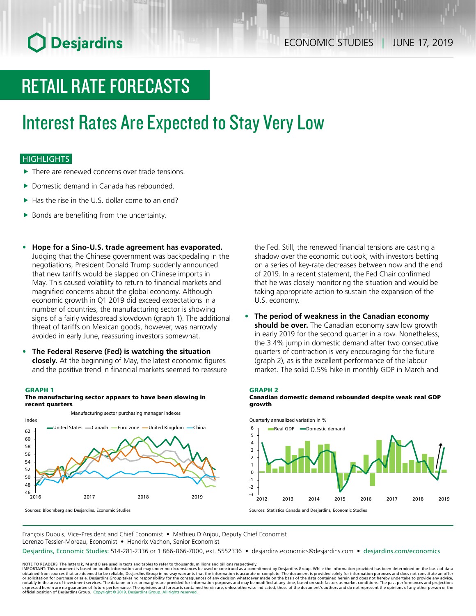# RETAIL RATE FORECASTS

# Interest Rates Are Expected to Stay Very Low

## **HIGHLIGHTS**

- There are renewed concerns over trade tensions.
- $\blacktriangleright$  Domestic demand in Canada has rebounded.
- $\blacktriangleright$  Has the rise in the U.S. dollar come to an end?
- $\blacktriangleright$  Bonds are benefiting from the uncertainty.
- **• Hope for a Sino-U.S. trade agreement has evaporated.** Judging that the Chinese government was backpedaling in the negotiations, President Donald Trump suddenly announced that new tariffs would be slapped on Chinese imports in May. This caused volatility to return to financial markets and magnified concerns about the global economy. Although economic growth in Q1 2019 did exceed expectations in a number of countries, the manufacturing sector is showing signs of a fairly widespread slowdown (graph 1). The additional threat of tariffs on Mexican goods, however, was narrowly avoided in early June, reassuring investors somewhat.
- **• The Federal Reserve (Fed) is watching the situation closely.** At the beginning of May, the latest economic figures and the positive trend in financial markets seemed to reassure

### GRAPH 1



The manufacturing sector appears to have been slowing in recent quarters

Sources: Bloomberg and Desjardins, Economic Studies

the Fed. Still, the renewed financial tensions are casting a shadow over the economic outlook, with investors betting on a series of key-rate decreases between now and the end of 2019. In a recent statement, the Fed Chair confirmed that he was closely monitoring the situation and would be taking appropriate action to sustain the expansion of the U.S. economy.

**• The period of weakness in the Canadian economy should be over.** The Canadian economy saw low growth in early 2019 for the second quarter in a row. Nonetheless, the 3.4% jump in domestic demand after two consecutive quarters of contraction is very encouraging for the future (graph 2), as is the excellent performance of the labour market. The solid 0.5% hike in monthly GDP in March and

### GRAPH 2

Canadian domestic demand rebounded despite weak real GDP growth



François Dupuis, Vice-President and Chief Economist • Mathieu D'Anjou, Deputy Chief Economist Lorenzo Tessier-Moreau, Economist • Hendrix Vachon, Senior Economist

Desjardins, Economic Studies: 514-281-2336 or 1 866-866-7000, ext. 5552336 • desjardins.economics@desjardins.com • [desjardins.com/economics](http://desjardins.com/economics)

NOTE TO READERS: The letters k, M and B are used in texts and tables to refer to thousands, millions and billions respectively.<br>IMPORTANT: This document is based on public information and may under no circumstances be used obtained from sources that are deemed to be reliable, Desjardins Group in no way warrants that the information is accurate or complete. The document is provided solely for information purposes and does not constitute an of official position of Desjardins Group. Copyright © 2019, Desjardins Group. All rights reserved.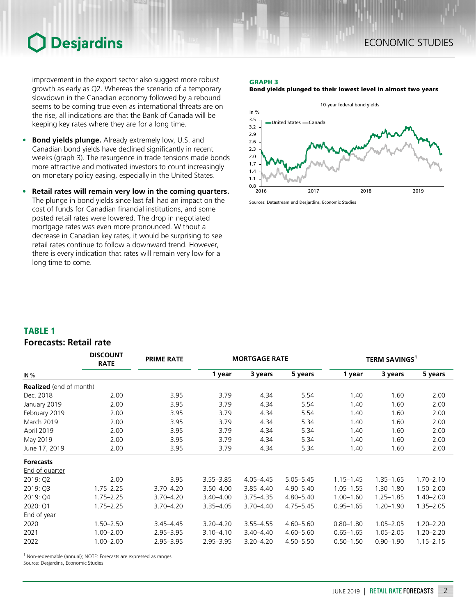improvement in the export sector also suggest more robust growth as early as Q2. Whereas the scenario of a temporary slowdown in the Canadian economy followed by a rebound seems to be coming true even as international threats are on the rise, all indications are that the Bank of Canada will be keeping key rates where they are for a long time.

- **• Bond yields plunge.** Already extremely low, U.S. and Canadian bond yields have declined significantly in recent weeks (graph 3). The resurgence in trade tensions made bonds more attractive and motivated investors to count increasingly on monetary policy easing, especially in the United States.
- **• Retail rates will remain very low in the coming quarters.** The plunge in bond yields since last fall had an impact on the cost of funds for Canadian financial institutions, and some posted retail rates were lowered. The drop in negotiated mortgage rates was even more pronounced. Without a decrease in Canadian key rates, it would be surprising to see retail rates continue to follow a downward trend. However, there is every indication that rates will remain very low for a long time to come.

### GRAPH 3





Sources: Datastream and Desjardins, Economic Studies

## TABLE 1

## **Forecasts: Retail rate**

|                                | <b>DISCOUNT</b><br><b>RATE</b> | <b>PRIME RATE</b> | <b>MORTGAGE RATE</b> |               |               | TERM SAVINGS <sup>1</sup> |               |               |
|--------------------------------|--------------------------------|-------------------|----------------------|---------------|---------------|---------------------------|---------------|---------------|
| IN %                           |                                |                   | 1 year               | 3 years       | 5 years       | 1 year                    | 3 years       | 5 years       |
| <b>Realized</b> (end of month) |                                |                   |                      |               |               |                           |               |               |
| Dec. 2018                      | 2.00                           | 3.95              | 3.79                 | 4.34          | 5.54          | 1.40                      | 1.60          | 2.00          |
| January 2019                   | 2.00                           | 3.95              | 3.79                 | 4.34          | 5.54          | 1.40                      | 1.60          | 2.00          |
| February 2019                  | 2.00                           | 3.95              | 3.79                 | 4.34          | 5.54          | 1.40                      | 1.60          | 2.00          |
| <b>March 2019</b>              | 2.00                           | 3.95              | 3.79                 | 4.34          | 5.34          | 1.40                      | 1.60          | 2.00          |
| April 2019                     | 2.00                           | 3.95              | 3.79                 | 4.34          | 5.34          | 1.40                      | 1.60          | 2.00          |
| May 2019                       | 2.00                           | 3.95              | 3.79                 | 4.34          | 5.34          | 1.40                      | 1.60          | 2.00          |
| June 17, 2019                  | 2.00                           | 3.95              | 3.79                 | 4.34          | 5.34          | 1.40                      | 1.60          | 2.00          |
| <b>Forecasts</b>               |                                |                   |                      |               |               |                           |               |               |
| End of quarter                 |                                |                   |                      |               |               |                           |               |               |
| 2019: Q2                       | 2.00                           | 3.95              | $3.55 - 3.85$        | $4.05 - 4.45$ | $5.05 - 5.45$ | $1.15 - 1.45$             | $1.35 - 1.65$ | $1.70 - 2.10$ |
| 2019: Q3                       | $1.75 - 2.25$                  | $3.70 - 4.20$     | $3.50 - 4.00$        | $3.85 - 4.40$ | $4.90 - 5.40$ | $1.05 - 1.55$             | $1.30 - 1.80$ | $1.50 - 2.00$ |
| 2019: Q4                       | $1.75 - 2.25$                  | $3.70 - 4.20$     | $3.40 - 4.00$        | $3.75 - 4.35$ | 4.80-5.40     | $1.00 - 1.60$             | $1.25 - 1.85$ | $1.40 - 2.00$ |
| 2020: Q1                       | $1.75 - 2.25$                  | 3.70-4.20         | $3.35 - 4.05$        | $3.70 - 4.40$ | $4.75 - 5.45$ | $0.95 - 1.65$             | $1.20 - 1.90$ | $1.35 - 2.05$ |
| End of year                    |                                |                   |                      |               |               |                           |               |               |
| 2020                           | $1.50 - 2.50$                  | $3.45 - 4.45$     | $3.20 - 4.20$        | $3.55 - 4.55$ | $4.60 - 5.60$ | $0.80 - 1.80$             | $1.05 - 2.05$ | $1.20 - 2.20$ |
| 2021                           | $1.00 - 2.00$                  | $2.95 - 3.95$     | $3.10 - 4.10$        | $3.40 - 4.40$ | $4.60 - 5.60$ | $0.65 - 1.65$             | $1.05 - 2.05$ | $1.20 - 2.20$ |
| 2022                           | $1.00 - 2.00$                  | $2.95 - 3.95$     | $2.95 - 3.95$        | $3.20 - 4.20$ | $4.50 - 5.50$ | $0.50 - 1.50$             | $0.90 - 1.90$ | $1.15 - 2.15$ |

<sup>1</sup> Non-redeemable (annual); NOTE: Forecasts are expressed as ranges.

Source: Desjardins, Economic Studies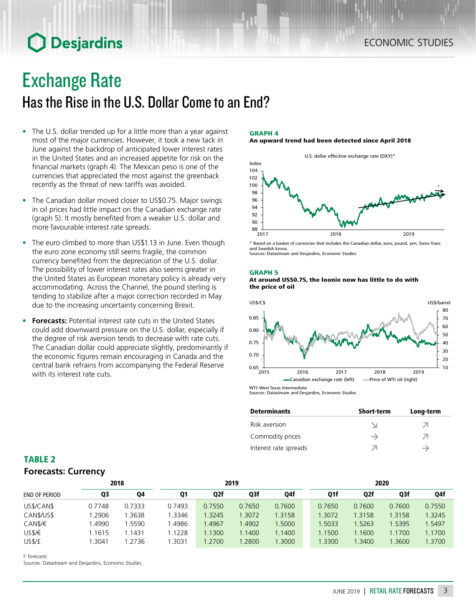## Exchange Rate

## Has the Rise in the U.S. Dollar Come to an End?

- The U.S. dollar trended up for a little more than a year against most of the major currencies. However, it took a new tack in June against the backdrop of anticipated lower interest rates in the United States and an increased appetite for risk on the financial markets (graph 4). The Mexican peso is one of the currencies that appreciated the most against the greenback recently as the threat of new tariffs was avoided.
- The Canadian dollar moved closer to US\$0.75. Major swings in oil prices had little impact on the Canadian exchange rate (graph 5). It mostly benefited from a weaker U.S. dollar and more favourable interest rate spreads.
- The euro climbed to more than US\$1.13 in June. Even though the euro zone economy still seems fragile, the common currency benefited from the depreciation of the U.S. dollar. The possibility of lower interest rates also seems greater in the United States as European monetary policy is already very accommodating. Across the Channel, the pound sterling is tending to stabilize after a major correction recorded in May due to the increasing uncertainty concerning Brexit.
- **• Forecasts:** Potential interest rate cuts in the United States could add downward pressure on the U.S. dollar, especially if the degree of risk aversion tends to decrease with rate cuts. The Canadian dollar could appreciate slightly, predominantly if the economic figures remain encouraging in Canada and the central bank refrains from accompanying the Federal Reserve with its interest rate cuts.

### GRAPH 4

### An upward trend had been detected since April 2018



\* Based on a basket of currencies that includes the Canadian dollar, euro, pound, yen, Swiss franc and Swedish krona. Sources: Datastream and Desjardins, Economic Studies

### GRAPH 5





Sources: Datastream and Desjardins, Economic Studies

| <b>Determinants</b>   | <b>Short-term</b> | Long-term |
|-----------------------|-------------------|-----------|
| Risk aversion         |                   |           |
| Commodity prices      | →                 |           |
| Interest rate spreads | ↗                 | →         |

## TABLE 2 **Forecasts: Currency**

|                        | 2018   |        | 2019   |        |        |        | 2020   |                  |        |        |
|------------------------|--------|--------|--------|--------|--------|--------|--------|------------------|--------|--------|
| <b>END OF PERIOD</b>   | Q3     | Q4     | Q1     | Q2f    | Q3f    | Q4f    | Q1f    | Q <sub>2</sub> f | Q3f    | Q4f    |
| US\$/CAN\$             | 0.7748 | 0.7333 | 0.7493 | 0.7550 | 0.7650 | 0.7600 | 0.7650 | 0.7600           | 0.7600 | 0.7550 |
| CAN <sub>\$/US\$</sub> | .2906  | .3638  | .3346  | 1.3245 | .3072  | 1.3158 | 1.3072 | 1.3158           | 1.3158 | .3245  |
| CAN\$/€                | .4990  | .5590  | .4986  | .4967  | 1.4902 | .5000  | 1.5033 | 1.5263           | 1.5395 | .5497  |
| US\$/€                 | .1615  | 1.1431 | .1228  | 1.1300 | 1.1400 | 1.1400 | 1.1500 | 1.1600           | 1.1700 | 1.1700 |
| US\$/£                 | .3041  | .2736  | .3031  | .2700  | .2800  | .3000  | 1.3300 | 1.3400           | 1.3600 | .3700  |

f: forecasts

Sources: Datastream and Desjardins, Economic Studies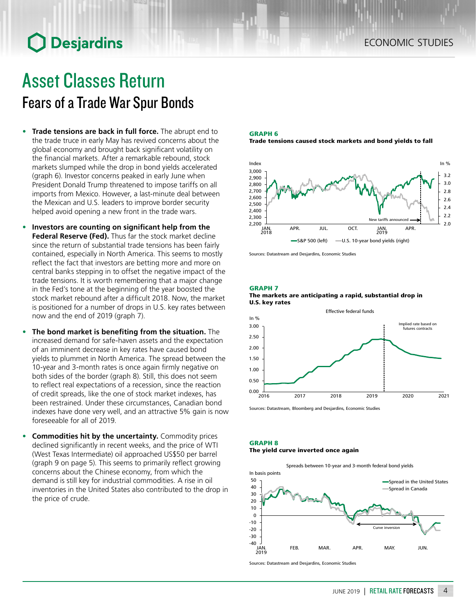## Asset Classes Return Fears of a Trade War Spur Bonds

- **• Trade tensions are back in full force.** The abrupt end to the trade truce in early May has revived concerns about the global economy and brought back significant volatility on the financial markets. After a remarkable rebound, stock markets slumped while the drop in bond yields accelerated (graph 6). Investor concerns peaked in early June when President Donald Trump threatened to impose tariffs on all imports from Mexico. However, a last-minute deal between the Mexican and U.S. leaders to improve border security helped avoid opening a new front in the trade wars.
- **• Investors are counting on significant help from the Federal Reserve (Fed).** Thus far the stock market decline since the return of substantial trade tensions has been fairly contained, especially in North America. This seems to mostly reflect the fact that investors are betting more and more on central banks stepping in to offset the negative impact of the trade tensions. It is worth remembering that a major change in the Fed's tone at the beginning of the year boosted the stock market rebound after a difficult 2018. Now, the market is positioned for a number of drops in U.S. key rates between now and the end of 2019 (graph 7).
- **• The bond market is benefiting from the situation.** The increased demand for safe-haven assets and the expectation of an imminent decrease in key rates have caused bond yields to plummet in North America. The spread between the 10‑year and 3‑month rates is once again firmly negative on both sides of the border (graph 8). Still, this does not seem to reflect real expectations of a recession, since the reaction of credit spreads, like the one of stock market indexes, has been restrained. Under these circumstances, Canadian bond indexes have done very well, and an attractive 5% gain is now foreseeable for all of 2019.
- **• Commodities hit by the uncertainty.** Commodity prices declined significantly in recent weeks, and the price of WTI (West Texas Intermediate) oil approached US\$50 per barrel (graph 9 on page 5). This seems to primarily reflect growing concerns about the Chinese economy, from which the demand is still key for industrial commodities. A rise in oil inventories in the United States also contributed to the drop in the price of crude.

GRAPH 6 Trade tensions caused stock markets and bond yields to fall



Sources: Datastream and Desjardins, Economic Studies

GRAPH 7





Sources: Datastream, Bloomberg and Desjardins, Economic Studies

### GRAPH 8 The yield curve inverted once again

Spreads between 10-year and 3-month federal bond yields



Sources: Datastream and Desjardins, Economic Studies